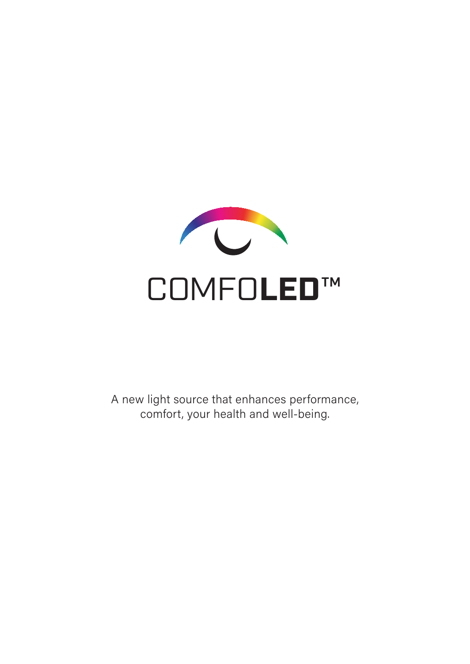

A new light source that enhances performance, comfort, your health and well-being.